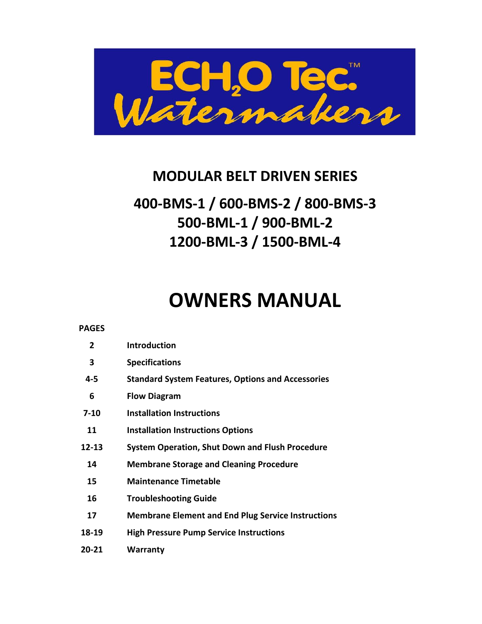

# **MODULAR BELT DRIVEN SERIES**

# **400-BMS-1 / 600-BMS-2 / 800-BMS-3 500-BML-1 / 900-BML-2 1200-BML-3 / 1500-BML-4**

# **OWNERS MANUAL**

| <b>PAGES</b> |                                                           |
|--------------|-----------------------------------------------------------|
| 2            | <b>Introduction</b>                                       |
| 3            | <b>Specifications</b>                                     |
| 4-5          | <b>Standard System Features, Options and Accessories</b>  |
| 6            | <b>Flow Diagram</b>                                       |
| $7 - 10$     | <b>Installation Instructions</b>                          |
| 11           | <b>Installation Instructions Options</b>                  |
| $12 - 13$    | <b>System Operation, Shut Down and Flush Procedure</b>    |
| 14           | <b>Membrane Storage and Cleaning Procedure</b>            |
| 15           | <b>Maintenance Timetable</b>                              |
| 16           | <b>Troubleshooting Guide</b>                              |
| 17           | <b>Membrane Element and End Plug Service Instructions</b> |
| 18-19        | <b>High Pressure Pump Service Instructions</b>            |
| 20-21        | Warranty                                                  |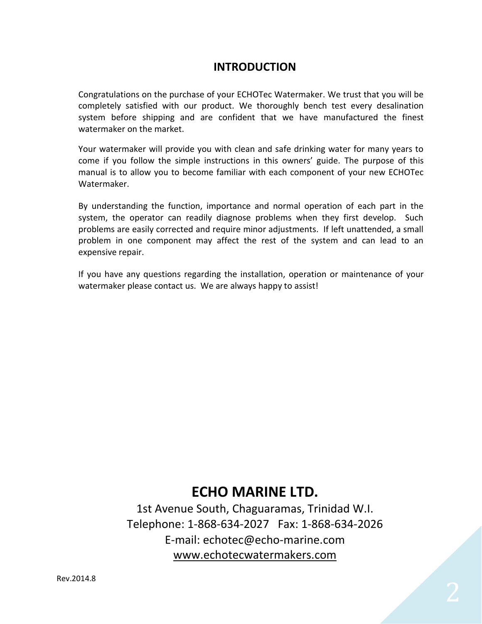# **INTRODUCTION**

Congratulations on the purchase of your ECHOTec Watermaker. We trust that you will be completely satisfied with our product. We thoroughly bench test every desalination system before shipping and are confident that we have manufactured the finest watermaker on the market.

Your watermaker will provide you with clean and safe drinking water for many years to come if you follow the simple instructions in this owners' guide. The purpose of this manual is to allow you to become familiar with each component of your new ECHOTec Watermaker.

By understanding the function, importance and normal operation of each part in the system, the operator can readily diagnose problems when they first develop. Such problems are easily corrected and require minor adjustments. If left unattended, a small problem in one component may affect the rest of the system and can lead to an expensive repair.

If you have any questions regarding the installation, operation or maintenance of your watermaker please contact us. We are always happy to assist!

# **ECHO MARINE LTD.**

1st Avenue South, Chaguaramas, Trinidad W.I. Telephone: 1-868-634-2027 Fax: 1-868-634-2026 E-mail: echotec@echo-marine.com [www.echotecwatermakers.com](http://www.echotecwatermakers.com/)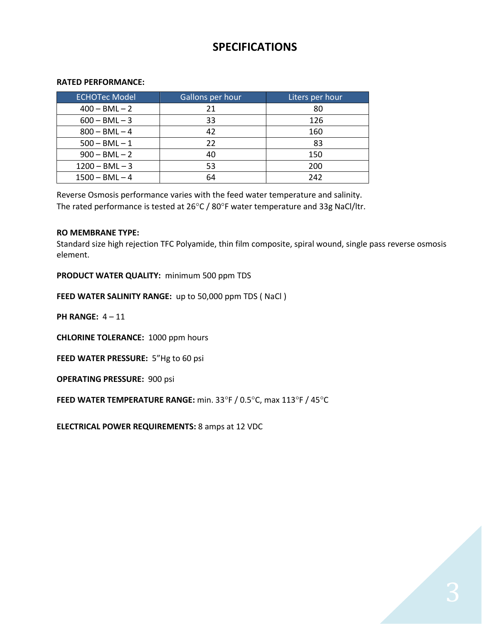# **SPECIFICATIONS**

#### **RATED PERFORMANCE:**

| <b>ECHOTec Model</b> | Gallons per hour | Liters per hour |
|----------------------|------------------|-----------------|
| $400 - BML - 2$      | 21               | 80              |
| $600 - BML - 3$      | 33               | 126             |
| $800 - BML - 4$      | 42               | 160             |
| $500 - BML - 1$      | 22               | 83              |
| $900 - BML - 2$      | 40               | 150             |
| $1200 - BML - 3$     | 53               | 200             |
| $1500 - BML - 4$     | 64               | 242             |

Reverse Osmosis performance varies with the feed water temperature and salinity. The rated performance is tested at  $26^{\circ}$ C /  $80^{\circ}$ F water temperature and 33g NaCl/ltr.

#### **RO MEMBRANE TYPE:**

Standard size high rejection TFC Polyamide, thin film composite, spiral wound, single pass reverse osmosis element.

**PRODUCT WATER QUALITY:** minimum 500 ppm TDS

**FEED WATER SALINITY RANGE:** up to 50,000 ppm TDS ( NaCl )

**PH RANGE:** 4 – 11

**CHLORINE TOLERANCE:** 1000 ppm hours

**FEED WATER PRESSURE:** 5"Hg to 60 psi

**OPERATING PRESSURE:** 900 psi

**FEED WATER TEMPERATURE RANGE:** min. 33°F / 0.5°C, max 113°F / 45°C

**ELECTRICAL POWER REQUIREMENTS:** 8 amps at 12 VDC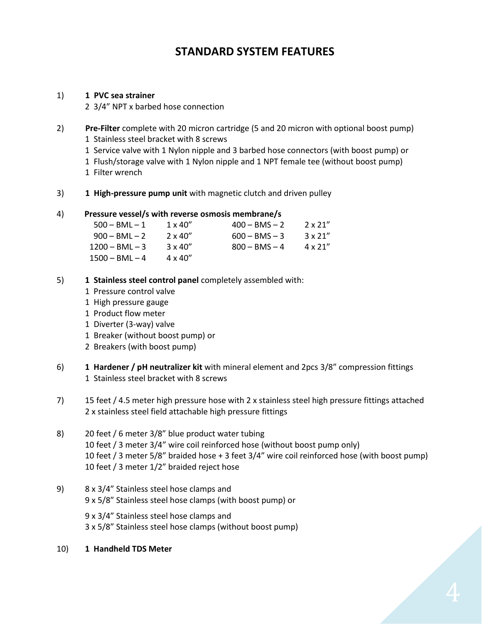# **STANDARD SYSTEM FEATURES**

#### 1) **1 PVC sea strainer**

2 3/4" NPT x barbed hose connection

- 2) **Pre-Filter** complete with 20 micron cartridge (5 and 20 micron with optional boost pump) 1 Stainless steel bracket with 8 screws
	- 1 Service valve with 1 Nylon nipple and 3 barbed hose connectors (with boost pump) or
	- 1 Flush/storage valve with 1 Nylon nipple and 1 NPT female tee (without boost pump)
	- 1 Filter wrench
- 3) **1 High-pressure pump unit** with magnetic clutch and driven pulley

#### 4) **Pressure vessel/s with reverse osmosis membrane/s**

| $500 - BML - 1$  | $1 \times 40''$ | $400 - BMS - 2$ | $2 \times 21''$ |
|------------------|-----------------|-----------------|-----------------|
| $900 - BML - 2$  | $2 \times 40''$ | $600 - BMS - 3$ | $3 \times 21''$ |
| $1200 - BML - 3$ | $3 \times 40''$ | $800 - BMS - 4$ | $4 \times 21''$ |
| $1500 - BML - 4$ | $4 \times 40''$ |                 |                 |

- 5) **1 Stainless steel control panel** completely assembled with:
	- 1 Pressure control valve
	- 1 High pressure gauge
	- 1 Product flow meter
	- 1 Diverter (3-way) valve
	- 1 Breaker (without boost pump) or
	- 2 Breakers (with boost pump)
- 6) **1 Hardener / pH neutralizer kit** with mineral element and 2pcs 3/8" compression fittings 1 Stainless steel bracket with 8 screws
- 7) 15 feet / 4.5 meter high pressure hose with 2 x stainless steel high pressure fittings attached 2 x stainless steel field attachable high pressure fittings
- 8) 20 feet / 6 meter 3/8" blue product water tubing 10 feet / 3 meter 3/4" wire coil reinforced hose (without boost pump only) 10 feet / 3 meter 5/8" braided hose + 3 feet 3/4" wire coil reinforced hose (with boost pump) 10 feet / 3 meter 1/2" braided reject hose
- 9) 8 x 3/4" Stainless steel hose clamps and 9 x 5/8" Stainless steel hose clamps (with boost pump) or

9 x 3/4" Stainless steel hose clamps and 3 x 5/8" Stainless steel hose clamps (without boost pump)

10) **1 Handheld TDS Meter**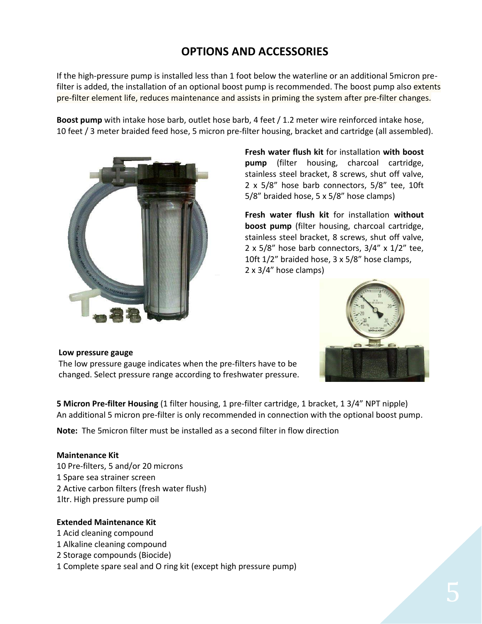# **OPTIONS AND ACCESSORIES**

If the high-pressure pump is installed less than 1 foot below the waterline or an additional 5micron prefilter is added, the installation of an optional boost pump is recommended. The boost pump also extents pre-filter element life, reduces maintenance and assists in priming the system after pre-filter changes.

**Boost pump** with intake hose barb, outlet hose barb, 4 feet / 1.2 meter wire reinforced intake hose, 10 feet / 3 meter braided feed hose, 5 micron pre-filter housing, bracket and cartridge (all assembled).



**Fresh water flush kit** for installation **with boost pump** (filter housing, charcoal cartridge, stainless steel bracket, 8 screws, shut off valve, 2 x 5/8" hose barb connectors, 5/8" tee, 10ft 5/8" braided hose, 5 x 5/8" hose clamps)

**Fresh water flush kit** for installation **without boost pump** (filter housing, charcoal cartridge, stainless steel bracket, 8 screws, shut off valve, 2 x 5/8" hose barb connectors,  $3/4$ " x  $1/2$ " tee, 10ft 1/2" braided hose, 3 x 5/8" hose clamps, 2 x 3/4" hose clamps)



#### **Low pressure gauge**

 changed. Select pressure range according to freshwater pressure.The low pressure gauge indicates when the pre-filters have to be

**5 Micron Pre-filter Housing** (1 filter housing, 1 pre-filter cartridge, 1 bracket, 1 3/4" NPT nipple) An additional 5 micron pre-filter is only recommended in connection with the optional boost pump.

**Note:** The 5micron filter must be installed as a second filter in flow direction

#### **Maintenance Kit**

10 Pre-filters, 5 and/or 20 microns 1 Spare sea strainer screen 2 Active carbon filters (fresh water flush) 1ltr. High pressure pump oil

#### **Extended Maintenance Kit**

- 1 Acid cleaning compound
- 1 Alkaline cleaning compound
- 2 Storage compounds (Biocide)
- 1 Complete spare seal and O ring kit (except high pressure pump)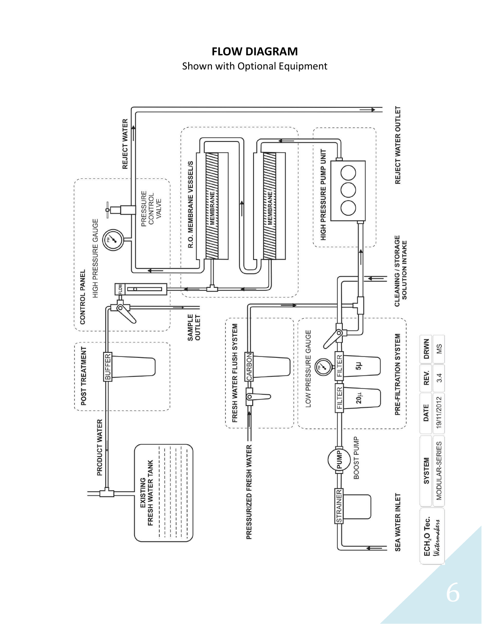# **FLOW DIAGRAM**

Shown with Optional Equipment

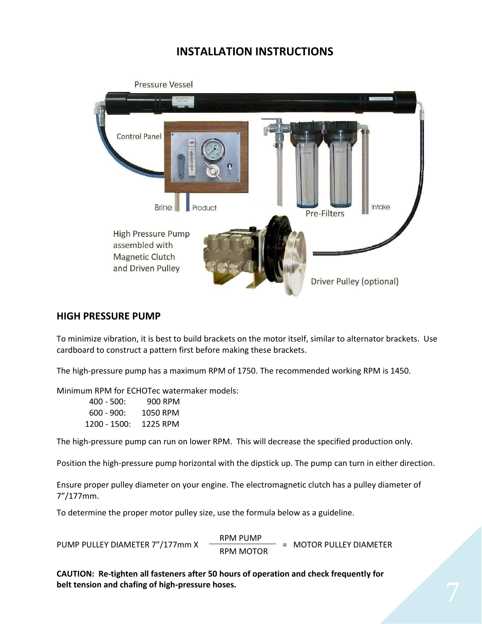# **INSTALLATION INSTRUCTIONS**



#### **HIGH PRESSURE PUMP**

To minimize vibration, it is best to build brackets on the motor itself, similar to alternator brackets. Use cardboard to construct a pattern first before making these brackets.

The high-pressure pump has a maximum RPM of 1750. The recommended working RPM is 1450.

Minimum RPM for ECHOTec watermaker models:

| $400 - 500$ : | 900 RPM  |
|---------------|----------|
| $600 - 900$ : | 1050 RPM |
| 1200 - 1500:  | 1225 RPM |

The high-pressure pump can run on lower RPM. This will decrease the specified production only.

Position the high-pressure pump horizontal with the dipstick up. The pump can turn in either direction.

Ensure proper pulley diameter on your engine. The electromagnetic clutch has a pulley diameter of 7"/177mm.

To determine the proper motor pulley size, use the formula below as a guideline.

PUMP PULLEY DIAMETER 7"/177mm X RPM PUMP = MOTOR PULLEY DIAMETER RPM MOTOR

**CAUTION: Re-tighten all fasteners after 50 hours of operation and check frequently for belt tension and chafing of high-pressure hoses.**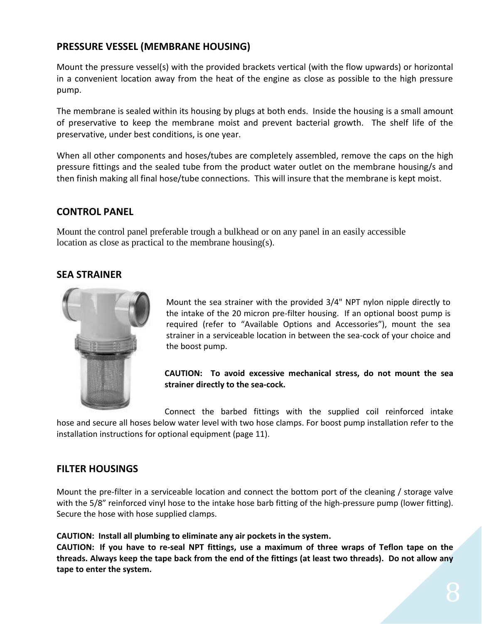### **PRESSURE VESSEL (MEMBRANE HOUSING)**

Mount the pressure vessel(s) with the provided brackets vertical (with the flow upwards) or horizontal in a convenient location away from the heat of the engine as close as possible to the high pressure pump.

The membrane is sealed within its housing by plugs at both ends. Inside the housing is a small amount of preservative to keep the membrane moist and prevent bacterial growth. The shelf life of the preservative, under best conditions, is one year.

When all other components and hoses/tubes are completely assembled, remove the caps on the high pressure fittings and the sealed tube from the product water outlet on the membrane housing/s and then finish making all final hose/tube connections. This will insure that the membrane is kept moist.

### **CONTROL PANEL**

Mount the control panel preferable trough a bulkhead or on any panel in an easily accessible location as close as practical to the membrane housing(s).

### **SEA STRAINER**



Mount the sea strainer with the provided 3/4" NPT nylon nipple directly to the intake of the 20 micron pre-filter housing. If an optional boost pump is required (refer to "Available Options and Accessories"), mount the sea strainer in a serviceable location in between the sea-cock of your choice and the boost pump.

#### **CAUTION: To avoid excessive mechanical stress, do not mount the sea strainer directly to the sea-cock.**

Connect the barbed fittings with the supplied coil reinforced intake hose and secure all hoses below water level with two hose clamps. For boost pump installation refer to the installation instructions for optional equipment (page 11).

#### **FILTER HOUSINGS**

Mount the pre-filter in a serviceable location and connect the bottom port of the cleaning / storage valve with the 5/8" reinforced vinyl hose to the intake hose barb fitting of the high-pressure pump (lower fitting). Secure the hose with hose supplied clamps.

**CAUTION: Install all plumbing to eliminate any air pockets in the system.**

**CAUTION: If you have to re-seal NPT fittings, use a maximum of three wraps of Teflon tape on the threads. Always keep the tape back from the end of the fittings (at least two threads). Do not allow any tape to enter the system.**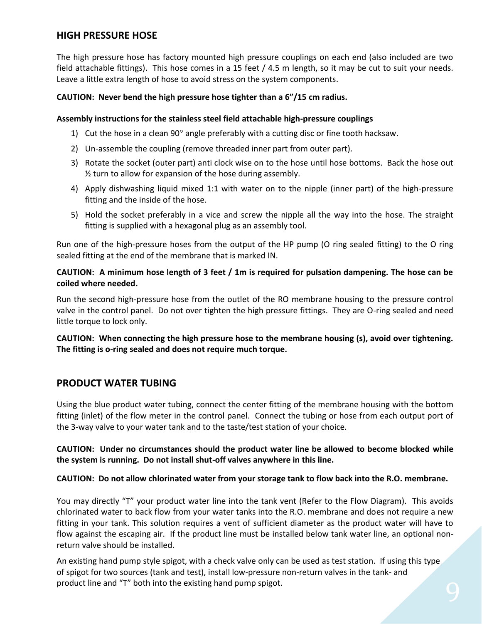### **HIGH PRESSURE HOSE**

The high pressure hose has factory mounted high pressure couplings on each end (also included are two field attachable fittings). This hose comes in a 15 feet / 4.5 m length, so it may be cut to suit your needs. Leave a little extra length of hose to avoid stress on the system components.

#### **CAUTION: Never bend the high pressure hose tighter than a 6"/15 cm radius.**

#### **Assembly instructions for the stainless steel field attachable high-pressure couplings**

- 1) Cut the hose in a clean 90 $^{\circ}$  angle preferably with a cutting disc or fine tooth hacksaw.
- 2) Un-assemble the coupling (remove threaded inner part from outer part).
- 3) Rotate the socket (outer part) anti clock wise on to the hose until hose bottoms. Back the hose out  $\frac{1}{2}$  turn to allow for expansion of the hose during assembly.
- 4) Apply dishwashing liquid mixed 1:1 with water on to the nipple (inner part) of the high-pressure fitting and the inside of the hose.
- 5) Hold the socket preferably in a vice and screw the nipple all the way into the hose. The straight fitting is supplied with a hexagonal plug as an assembly tool.

Run one of the high-pressure hoses from the output of the HP pump (O ring sealed fitting) to the O ring sealed fitting at the end of the membrane that is marked IN.

#### **CAUTION: A minimum hose length of 3 feet / 1m is required for pulsation dampening. The hose can be coiled where needed.**

Run the second high-pressure hose from the outlet of the RO membrane housing to the pressure control valve in the control panel. Do not over tighten the high pressure fittings. They are O-ring sealed and need little torque to lock only.

**CAUTION: When connecting the high pressure hose to the membrane housing (s), avoid over tightening. The fitting is o-ring sealed and does not require much torque.**

### **PRODUCT WATER TUBING**

Using the blue product water tubing, connect the center fitting of the membrane housing with the bottom fitting (inlet) of the flow meter in the control panel. Connect the tubing or hose from each output port of the 3-way valve to your water tank and to the taste/test station of your choice.

#### **CAUTION: Under no circumstances should the product water line be allowed to become blocked while the system is running. Do not install shut-off valves anywhere in this line.**

#### **CAUTION: Do not allow chlorinated water from your storage tank to flow back into the R.O. membrane.**

You may directly "T" your product water line into the tank vent (Refer to the Flow Diagram). This avoids chlorinated water to back flow from your water tanks into the R.O. membrane and does not require a new fitting in your tank. This solution requires a vent of sufficient diameter as the product water will have to flow against the escaping air. If the product line must be installed below tank water line, an optional nonreturn valve should be installed.

An existing hand pump style spigot, with a check valve only can be used as test station. If using this type of spigot for two sources (tank and test), install low-pressure non-return valves in the tank- and product line and "T" both into the existing hand pump spigot.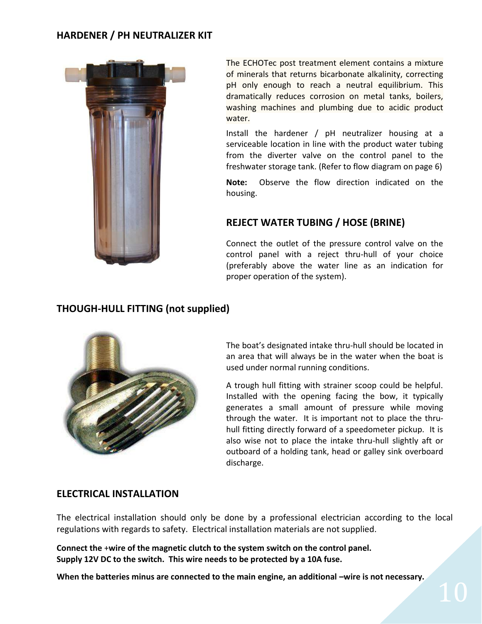### **HARDENER / PH NEUTRALIZER KIT**



The ECHOTec post treatment element contains a mixture of minerals that returns bicarbonate alkalinity, correcting pH only enough to reach a neutral equilibrium. This dramatically reduces corrosion on metal tanks, boilers, washing machines and plumbing due to acidic product water.

Install the hardener / pH neutralizer housing at a serviceable location in line with the product water tubing from the diverter valve on the control panel to the freshwater storage tank. (Refer to flow diagram on page 6)

**Note:** Observe the flow direction indicated on the housing.

### **REJECT WATER TUBING / HOSE (BRINE)**

Connect the outlet of the pressure control valve on the control panel with a reject thru-hull of your choice (preferably above the water line as an indication for proper operation of the system).

# **THOUGH-HULL FITTING (not supplied)**



The boat's designated intake thru-hull should be located in an area that will always be in the water when the boat is used under normal running conditions.

A trough hull fitting with strainer scoop could be helpful. Installed with the opening facing the bow, it typically generates a small amount of pressure while moving through the water. It is important not to place the thruhull fitting directly forward of a speedometer pickup. It is also wise not to place the intake thru-hull slightly aft or outboard of a holding tank, head or galley sink overboard discharge.

#### **ELECTRICAL INSTALLATION**

The electrical installation should only be done by a professional electrician according to the local regulations with regards to safety. Electrical installation materials are not supplied.

**Connect the** +**wire of the magnetic clutch to the system switch on the control panel. Supply 12V DC to the switch. This wire needs to be protected by a 10A fuse.**

**When the batteries minus are connected to the main engine, an additional –wire is not necessary.**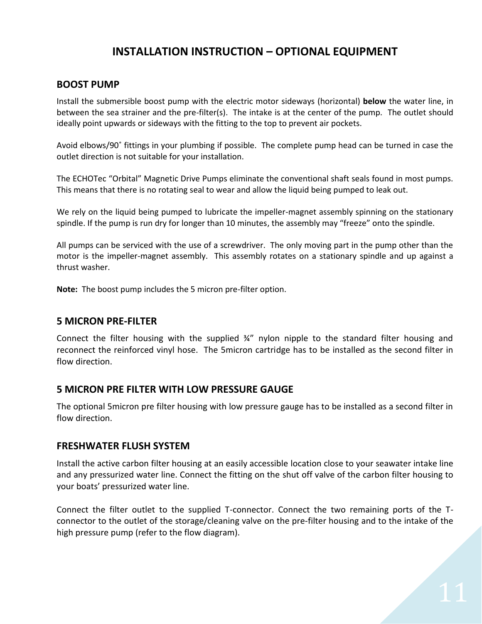# **INSTALLATION INSTRUCTION – OPTIONAL EQUIPMENT**

#### **BOOST PUMP**

Install the submersible boost pump with the electric motor sideways (horizontal) **below** the water line, in between the sea strainer and the pre-filter(s). The intake is at the center of the pump. The outlet should ideally point upwards or sideways with the fitting to the top to prevent air pockets.

Avoid elbows/90˚ fittings in your plumbing if possible. The complete pump head can be turned in case the outlet direction is not suitable for your installation.

The ECHOTec "Orbital" Magnetic Drive Pumps eliminate the conventional shaft seals found in most pumps. This means that there is no rotating seal to wear and allow the liquid being pumped to leak out.

We rely on the liquid being pumped to lubricate the impeller-magnet assembly spinning on the stationary spindle. If the pump is run dry for longer than 10 minutes, the assembly may "freeze" onto the spindle.

All pumps can be serviced with the use of a screwdriver. The only moving part in the pump other than the motor is the impeller-magnet assembly. This assembly rotates on a stationary spindle and up against a thrust washer.

**Note:** The boost pump includes the 5 micron pre-filter option.

#### **5 MICRON PRE-FILTER**

Connect the filter housing with the supplied ¾" nylon nipple to the standard filter housing and reconnect the reinforced vinyl hose. The 5micron cartridge has to be installed as the second filter in flow direction.

#### **5 MICRON PRE FILTER WITH LOW PRESSURE GAUGE**

The optional 5micron pre filter housing with low pressure gauge has to be installed as a second filter in flow direction.

#### **FRESHWATER FLUSH SYSTEM**

Install the active carbon filter housing at an easily accessible location close to your seawater intake line and any pressurized water line. Connect the fitting on the shut off valve of the carbon filter housing to your boats' pressurized water line.

Connect the filter outlet to the supplied T-connector. Connect the two remaining ports of the Tconnector to the outlet of the storage/cleaning valve on the pre-filter housing and to the intake of the high pressure pump (refer to the flow diagram).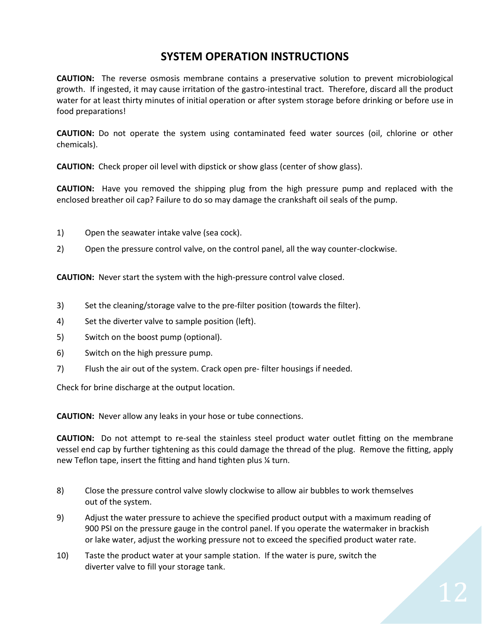# **SYSTEM OPERATION INSTRUCTIONS**

**CAUTION:** The reverse osmosis membrane contains a preservative solution to prevent microbiological growth. If ingested, it may cause irritation of the gastro-intestinal tract. Therefore, discard all the product water for at least thirty minutes of initial operation or after system storage before drinking or before use in food preparations!

**CAUTION:** Do not operate the system using contaminated feed water sources (oil, chlorine or other chemicals).

**CAUTION:** Check proper oil level with dipstick or show glass (center of show glass).

**CAUTION:** Have you removed the shipping plug from the high pressure pump and replaced with the enclosed breather oil cap? Failure to do so may damage the crankshaft oil seals of the pump.

- 1) Open the seawater intake valve (sea cock).
- 2) Open the pressure control valve, on the control panel, all the way counter-clockwise.

**CAUTION:** Never start the system with the high-pressure control valve closed.

- 3) Set the cleaning/storage valve to the pre-filter position (towards the filter).
- 4) Set the diverter valve to sample position (left).
- 5) Switch on the boost pump (optional).
- 6) Switch on the high pressure pump.
- 7) Flush the air out of the system. Crack open pre- filter housings if needed.

Check for brine discharge at the output location.

**CAUTION:** Never allow any leaks in your hose or tube connections.

**CAUTION:** Do not attempt to re-seal the stainless steel product water outlet fitting on the membrane vessel end cap by further tightening as this could damage the thread of the plug. Remove the fitting, apply new Teflon tape, insert the fitting and hand tighten plus ¼ turn.

- 8) Close the pressure control valve slowly clockwise to allow air bubbles to work themselves out of the system.
- 9) Adjust the water pressure to achieve the specified product output with a maximum reading of 900 PSI on the pressure gauge in the control panel. If you operate the watermaker in brackish or lake water, adjust the working pressure not to exceed the specified product water rate.
- 10) Taste the product water at your sample station. If the water is pure, switch the diverter valve to fill your storage tank.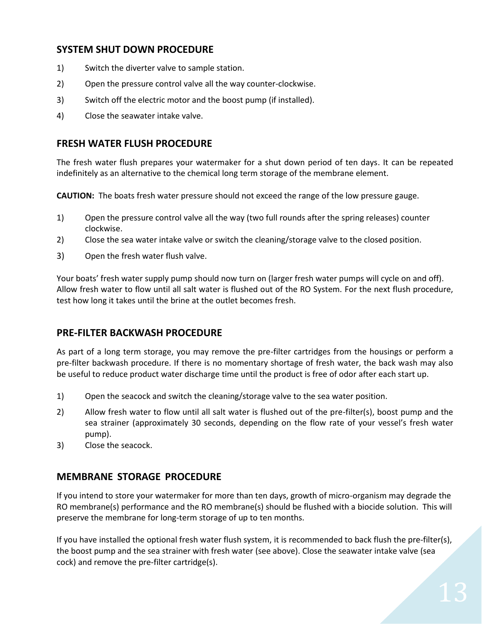# **SYSTEM SHUT DOWN PROCEDURE**

- 1) Switch the diverter valve to sample station.
- 2) Open the pressure control valve all the way counter-clockwise.
- 3) Switch off the electric motor and the boost pump (if installed).
- 4) Close the seawater intake valve.

#### **FRESH WATER FLUSH PROCEDURE**

The fresh water flush prepares your watermaker for a shut down period of ten days. It can be repeated indefinitely as an alternative to the chemical long term storage of the membrane element.

**CAUTION:** The boats fresh water pressure should not exceed the range of the low pressure gauge.

- 1) Open the pressure control valve all the way (two full rounds after the spring releases) counter clockwise.
- 2) Close the sea water intake valve or switch the cleaning/storage valve to the closed position.
- 3) Open the fresh water flush valve.

Your boats' fresh water supply pump should now turn on (larger fresh water pumps will cycle on and off). Allow fresh water to flow until all salt water is flushed out of the RO System. For the next flush procedure, test how long it takes until the brine at the outlet becomes fresh.

### **PRE-FILTER BACKWASH PROCEDURE**

As part of a long term storage, you may remove the pre-filter cartridges from the housings or perform a pre-filter backwash procedure. If there is no momentary shortage of fresh water, the back wash may also be useful to reduce product water discharge time until the product is free of odor after each start up.

- 1) Open the seacock and switch the cleaning/storage valve to the sea water position.
- 2) Allow fresh water to flow until all salt water is flushed out of the pre-filter(s), boost pump and the sea strainer (approximately 30 seconds, depending on the flow rate of your vessel's fresh water pump).
- 3) Close the seacock.

### **MEMBRANE STORAGE PROCEDURE**

If you intend to store your watermaker for more than ten days, growth of micro-organism may degrade the RO membrane(s) performance and the RO membrane(s) should be flushed with a biocide solution. This will preserve the membrane for long-term storage of up to ten months.

If you have installed the optional fresh water flush system, it is recommended to back flush the pre-filter(s), the boost pump and the sea strainer with fresh water (see above). Close the seawater intake valve (sea cock) and remove the pre-filter cartridge(s).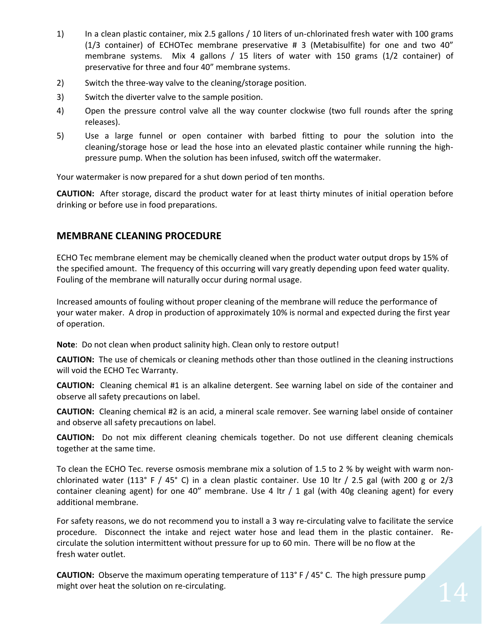- 1) In a clean plastic container, mix 2.5 gallons / 10 liters of un-chlorinated fresh water with 100 grams (1/3 container) of ECHOTec membrane preservative # 3 (Metabisulfite) for one and two 40" membrane systems. Mix 4 gallons / 15 liters of water with 150 grams (1/2 container) of preservative for three and four 40" membrane systems.
- 2) Switch the three-way valve to the cleaning/storage position.
- 3) Switch the diverter valve to the sample position.
- 4) Open the pressure control valve all the way counter clockwise (two full rounds after the spring releases).
- 5) Use a large funnel or open container with barbed fitting to pour the solution into the cleaning/storage hose or lead the hose into an elevated plastic container while running the highpressure pump. When the solution has been infused, switch off the watermaker.

Your watermaker is now prepared for a shut down period of ten months.

**CAUTION:** After storage, discard the product water for at least thirty minutes of initial operation before drinking or before use in food preparations.

### **MEMBRANE CLEANING PROCEDURE**

ECHO Tec membrane element may be chemically cleaned when the product water output drops by 15% of the specified amount. The frequency of this occurring will vary greatly depending upon feed water quality. Fouling of the membrane will naturally occur during normal usage.

Increased amounts of fouling without proper cleaning of the membrane will reduce the performance of your water maker. A drop in production of approximately 10% is normal and expected during the first year of operation.

**Note**: Do not clean when product salinity high. Clean only to restore output!

**CAUTION:** The use of chemicals or cleaning methods other than those outlined in the cleaning instructions will void the ECHO Tec Warranty.

**CAUTION:** Cleaning chemical #1 is an alkaline detergent. See warning label on side of the container and observe all safety precautions on label.

**CAUTION:** Cleaning chemical #2 is an acid, a mineral scale remover. See warning label onside of container and observe all safety precautions on label.

**CAUTION:** Do not mix different cleaning chemicals together. Do not use different cleaning chemicals together at the same time.

To clean the ECHO Tec. reverse osmosis membrane mix a solution of 1.5 to 2 % by weight with warm nonchlorinated water (113° F / 45° C) in a clean plastic container. Use 10 ltr / 2.5 gal (with 200 g or 2/3 container cleaning agent) for one 40" membrane. Use 4 ltr / 1 gal (with 40g cleaning agent) for every additional membrane.

For safety reasons, we do not recommend you to install a 3 way re-circulating valve to facilitate the service procedure. Disconnect the intake and reject water hose and lead them in the plastic container. Recirculate the solution intermittent without pressure for up to 60 min. There will be no flow at the fresh water outlet.

**CAUTION:** Observe the maximum operating temperature of 113° F / 45° C. The high pressure pump might over heat the solution on re-circulating.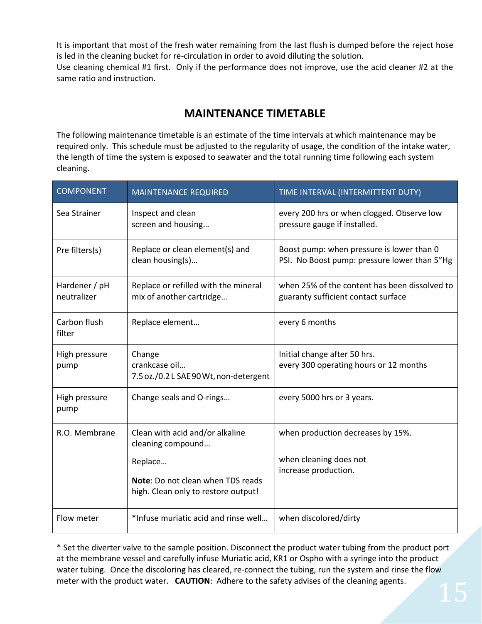It is important that most of the fresh water remaining from the last flush is dumped before the reject hose is led in the cleaning bucket for re-circulation in order to avoid diluting the solution. Use cleaning chemical #1 first. Only if the performance does not improve, use the acid cleaner #2 at the same ratio and instruction.

# **MAINTENANCE TIMETABLE**

The following maintenance timetable is an estimate of the time intervals at which maintenance may be required only. This schedule must be adjusted to the regularity of usage, the condition of the intake water, the length of time the system is exposed to seawater and the total running time following each system cleaning.

| <b>COMPONENT</b>             | <b>MAINTENANCE REQUIRED</b>                                              | TIME INTERVAL (INTERMITTENT DUTY)                                                         |
|------------------------------|--------------------------------------------------------------------------|-------------------------------------------------------------------------------------------|
| Sea Strainer                 | Inspect and clean<br>screen and housing                                  | every 200 hrs or when clogged. Observe low<br>pressure gauge if installed.                |
| Pre filters(s)               | Replace or clean element(s) and<br>clean housing(s)                      | Boost pump: when pressure is lower than 0<br>PSI. No Boost pump: pressure lower than 5"Hg |
| Hardener / pH<br>neutralizer | Replace or refilled with the mineral<br>mix of another cartridge         | when 25% of the content has been dissolved to<br>guaranty sufficient contact surface      |
| Carbon flush<br>filter       | Replace element                                                          | every 6 months                                                                            |
| High pressure<br>pump        | Change<br>crankcase oil<br>7.5 oz./0.2 L SAE 90 Wt, non-detergent        | Initial change after 50 hrs.<br>every 300 operating hours or 12 months                    |
| High pressure<br>pump        | Change seals and O-rings                                                 | every 5000 hrs or 3 years.                                                                |
| R.O. Membrane                | Clean with acid and/or alkaline<br>cleaning compound                     | when production decreases by 15%.                                                         |
|                              | Replace                                                                  | when cleaning does not                                                                    |
|                              | Note: Do not clean when TDS reads<br>high. Clean only to restore output! | increase production.                                                                      |
| Flow meter                   | *Infuse muriatic acid and rinse well                                     | when discolored/dirty                                                                     |

\* Set the diverter valve to the sample position. Disconnect the product water tubing from the product port at the membrane vessel and carefully infuse Muriatic acid, KR1 or Ospho with a syringe into the product water tubing. Once the discoloring has cleared, re-connect the tubing, run the system and rinse the flow meter with the product water. **CAUTION**: Adhere to the safety advises of the cleaning agents.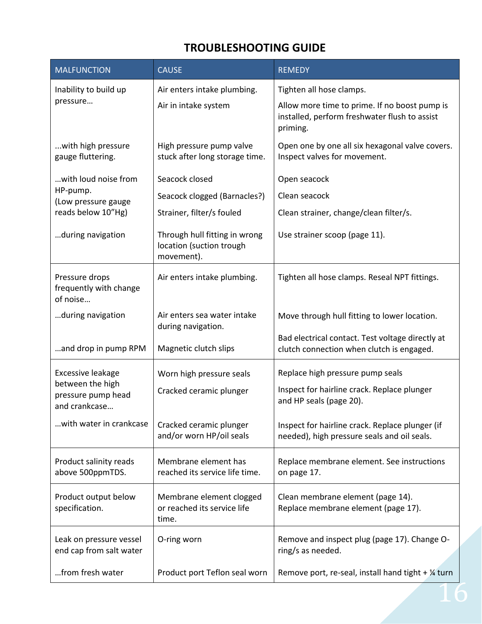# **TROUBLESHOOTING GUIDE**

| <b>MALFUNCTION</b>                                      | <b>CAUSE</b>                                                            | <b>REMEDY</b>                                                                                              |
|---------------------------------------------------------|-------------------------------------------------------------------------|------------------------------------------------------------------------------------------------------------|
| Inability to build up                                   | Air enters intake plumbing.                                             | Tighten all hose clamps.                                                                                   |
| pressure                                                | Air in intake system                                                    | Allow more time to prime. If no boost pump is<br>installed, perform freshwater flush to assist<br>priming. |
| with high pressure<br>gauge fluttering.                 | High pressure pump valve<br>stuck after long storage time.              | Open one by one all six hexagonal valve covers.<br>Inspect valves for movement.                            |
| with loud noise from                                    | Seacock closed                                                          | Open seacock                                                                                               |
| HP-pump.<br>(Low pressure gauge                         | Seacock clogged (Barnacles?)                                            | Clean seacock                                                                                              |
| reads below 10"Hg)                                      | Strainer, filter/s fouled                                               | Clean strainer, change/clean filter/s.                                                                     |
| during navigation                                       | Through hull fitting in wrong<br>location (suction trough<br>movement). | Use strainer scoop (page 11).                                                                              |
| Pressure drops<br>frequently with change<br>of noise    | Air enters intake plumbing.                                             | Tighten all hose clamps. Reseal NPT fittings.                                                              |
| during navigation                                       | Air enters sea water intake<br>during navigation.                       | Move through hull fitting to lower location.                                                               |
| and drop in pump RPM                                    | Magnetic clutch slips                                                   | Bad electrical contact. Test voltage directly at<br>clutch connection when clutch is engaged.              |
| Excessive leakage                                       | Worn high pressure seals                                                | Replace high pressure pump seals                                                                           |
| between the high<br>pressure pump head<br>and crankcase | Cracked ceramic plunger                                                 | Inspect for hairline crack. Replace plunger<br>and HP seals (page 20).                                     |
| with water in crankcase                                 | Cracked ceramic plunger<br>and/or worn HP/oil seals                     | Inspect for hairline crack. Replace plunger (if<br>needed), high pressure seals and oil seals.             |
| Product salinity reads<br>above 500ppmTDS.              | Membrane element has<br>reached its service life time.                  | Replace membrane element. See instructions<br>on page 17.                                                  |
| Product output below<br>specification.                  | Membrane element clogged<br>or reached its service life<br>time.        | Clean membrane element (page 14).<br>Replace membrane element (page 17).                                   |
| Leak on pressure vessel<br>end cap from salt water      | O-ring worn                                                             | Remove and inspect plug (page 17). Change O-<br>ring/s as needed.                                          |
| from fresh water                                        | Product port Teflon seal worn                                           | Remove port, re-seal, install hand tight $+$ $\frac{1}{4}$ turn                                            |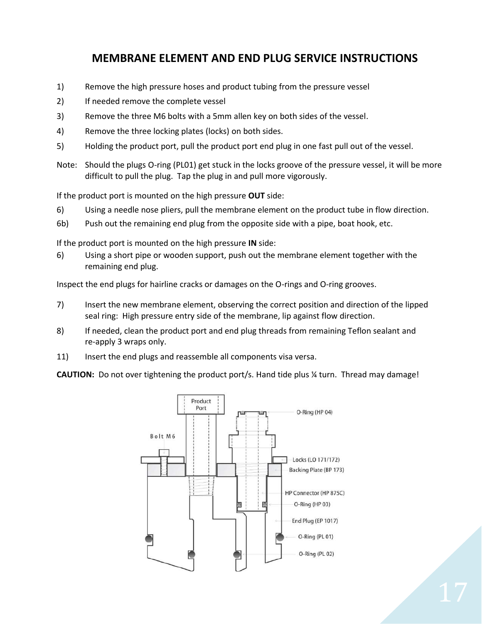# **MEMBRANE ELEMENT AND END PLUG SERVICE INSTRUCTIONS**

- 1) Remove the high pressure hoses and product tubing from the pressure vessel
- 2) If needed remove the complete vessel
- 3) Remove the three M6 bolts with a 5mm allen key on both sides of the vessel.
- 4) Remove the three locking plates (locks) on both sides.
- 5) Holding the product port, pull the product port end plug in one fast pull out of the vessel.
- Note: Should the plugs O-ring (PL01) get stuck in the locks groove of the pressure vessel, it will be more difficult to pull the plug. Tap the plug in and pull more vigorously.

If the product port is mounted on the high pressure **OUT** side:

- 6) Using a needle nose pliers, pull the membrane element on the product tube in flow direction.
- 6b) Push out the remaining end plug from the opposite side with a pipe, boat hook, etc.

If the product port is mounted on the high pressure **IN** side:

6) Using a short pipe or wooden support, push out the membrane element together with the remaining end plug.

Inspect the end plugs for hairline cracks or damages on the O-rings and O-ring grooves.

- 7) Insert the new membrane element, observing the correct position and direction of the lipped seal ring: High pressure entry side of the membrane, lip against flow direction.
- 8) If needed, clean the product port and end plug threads from remaining Teflon sealant and re-apply 3 wraps only.
- 11) Insert the end plugs and reassemble all components visa versa.

**CAUTION:** Do not over tightening the product port/s. Hand tide plus ¼ turn. Thread may damage!

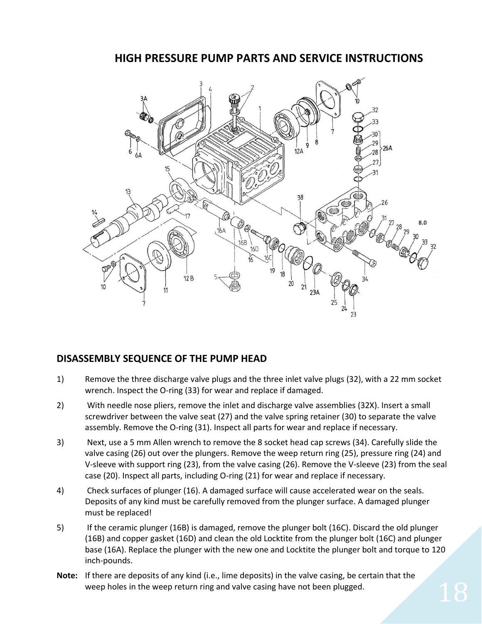# **HIGH PRESSURE PUMP PARTS AND SERVICE INSTRUCTIONS**



### **DISASSEMBLY SEQUENCE OF THE PUMP HEAD**

- 1) Remove the three discharge valve plugs and the three inlet valve plugs (32), with a 22 mm socket wrench. Inspect the O-ring (33) for wear and replace if damaged.
- 2) With needle nose pliers, remove the inlet and discharge valve assemblies (32X). Insert a small screwdriver between the valve seat (27) and the valve spring retainer (30) to separate the valve assembly. Remove the O-ring (31). Inspect all parts for wear and replace if necessary.
- 3) Next, use a 5 mm Allen wrench to remove the 8 socket head cap screws (34). Carefully slide the valve casing (26) out over the plungers. Remove the weep return ring (25), pressure ring (24) and V-sleeve with support ring (23), from the valve casing (26). Remove the V-sleeve (23) from the seal case (20). Inspect all parts, including O-ring (21) for wear and replace if necessary.
- 4) Check surfaces of plunger (16). A damaged surface will cause accelerated wear on the seals. Deposits of any kind must be carefully removed from the plunger surface. A damaged plunger must be replaced!
- 5) If the ceramic plunger (16B) is damaged, remove the plunger bolt (16C). Discard the old plunger (16B) and copper gasket (16D) and clean the old Locktite from the plunger bolt (16C) and plunger base (16A). Replace the plunger with the new one and Locktite the plunger bolt and torque to 120 inch-pounds.
- **Note:** If there are deposits of any kind (i.e., lime deposits) in the valve casing, be certain that the weep holes in the weep return ring and valve casing have not been plugged.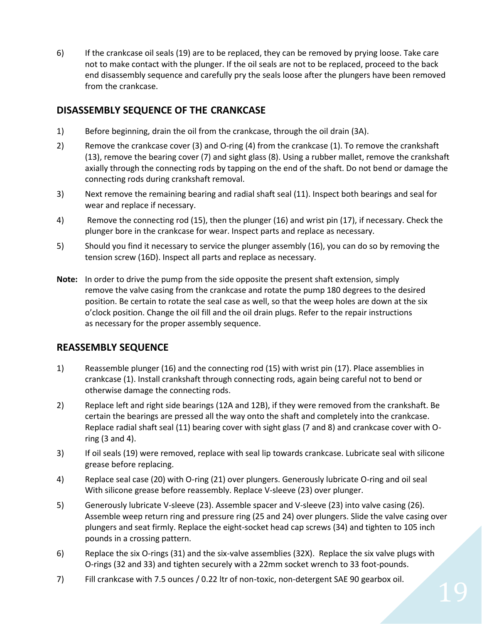6) If the crankcase oil seals (19) are to be replaced, they can be removed by prying loose. Take care not to make contact with the plunger. If the oil seals are not to be replaced, proceed to the back end disassembly sequence and carefully pry the seals loose after the plungers have been removed from the crankcase.

### **DISASSEMBLY SEQUENCE OF THE CRANKCASE**

- 1) Before beginning, drain the oil from the crankcase, through the oil drain (3A).
- 2) Remove the crankcase cover (3) and O-ring (4) from the crankcase (1). To remove the crankshaft (13), remove the bearing cover (7) and sight glass (8). Using a rubber mallet, remove the crankshaft axially through the connecting rods by tapping on the end of the shaft. Do not bend or damage the connecting rods during crankshaft removal.
- 3) Next remove the remaining bearing and radial shaft seal (11). Inspect both bearings and seal for wear and replace if necessary.
- 4) Remove the connecting rod (15), then the plunger (16) and wrist pin (17), if necessary. Check the plunger bore in the crankcase for wear. Inspect parts and replace as necessary.
- 5) Should you find it necessary to service the plunger assembly (16), you can do so by removing the tension screw (16D). Inspect all parts and replace as necessary.
- **Note:** In order to drive the pump from the side opposite the present shaft extension, simply remove the valve casing from the crankcase and rotate the pump 180 degrees to the desired position. Be certain to rotate the seal case as well, so that the weep holes are down at the six o'clock position. Change the oil fill and the oil drain plugs. Refer to the repair instructions as necessary for the proper assembly sequence.

### **REASSEMBLY SEQUENCE**

- 1) Reassemble plunger (16) and the connecting rod (15) with wrist pin (17). Place assemblies in crankcase (1). Install crankshaft through connecting rods, again being careful not to bend or otherwise damage the connecting rods.
- 2) Replace left and right side bearings (12A and 12B), if they were removed from the crankshaft. Be certain the bearings are pressed all the way onto the shaft and completely into the crankcase. Replace radial shaft seal (11) bearing cover with sight glass (7 and 8) and crankcase cover with Oring (3 and 4).
- 3) If oil seals (19) were removed, replace with seal lip towards crankcase. Lubricate seal with silicone grease before replacing.
- 4) Replace seal case (20) with O-ring (21) over plungers. Generously lubricate O-ring and oil seal With silicone grease before reassembly. Replace V-sleeve (23) over plunger.
- 5) Generously lubricate V-sleeve (23). Assemble spacer and V-sleeve (23) into valve casing (26). Assemble weep return ring and pressure ring (25 and 24) over plungers. Slide the valve casing over plungers and seat firmly. Replace the eight-socket head cap screws (34) and tighten to 105 inch pounds in a crossing pattern.
- 6) Replace the six O-rings (31) and the six-valve assemblies (32X). Replace the six valve plugs with O-rings (32 and 33) and tighten securely with a 22mm socket wrench to 33 foot-pounds.
- 7) Fill crankcase with 7.5 ounces / 0.22 ltr of non-toxic, non-detergent SAE 90 gearbox oil.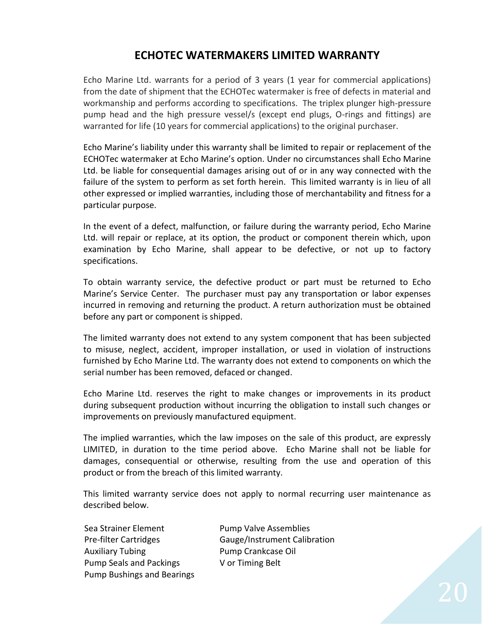# **ECHOTEC WATERMAKERS LIMITED WARRANTY**

Echo Marine Ltd. warrants for a period of 3 years (1 year for commercial applications) from the date of shipment that the ECHOTec watermaker is free of defects in material and workmanship and performs according to specifications. The triplex plunger high-pressure pump head and the high pressure vessel/s (except end plugs, O-rings and fittings) are warranted for life (10 years for commercial applications) to the original purchaser.

Echo Marine's liability under this warranty shall be limited to repair or replacement of the ECHOTec watermaker at Echo Marine's option. Under no circumstances shall Echo Marine Ltd. be liable for consequential damages arising out of or in any way connected with the failure of the system to perform as set forth herein. This limited warranty is in lieu of all other expressed or implied warranties, including those of merchantability and fitness for a particular purpose.

In the event of a defect, malfunction, or failure during the warranty period, Echo Marine Ltd. will repair or replace, at its option, the product or component therein which, upon examination by Echo Marine, shall appear to be defective, or not up to factory specifications.

To obtain warranty service, the defective product or part must be returned to Echo Marine's Service Center. The purchaser must pay any transportation or labor expenses incurred in removing and returning the product. A return authorization must be obtained before any part or component is shipped.

The limited warranty does not extend to any system component that has been subjected to misuse, neglect, accident, improper installation, or used in violation of instructions furnished by Echo Marine Ltd. The warranty does not extend to components on which the serial number has been removed, defaced or changed.

Echo Marine Ltd. reserves the right to make changes or improvements in its product during subsequent production without incurring the obligation to install such changes or improvements on previously manufactured equipment.

The implied warranties, which the law imposes on the sale of this product, are expressly LIMITED, in duration to the time period above. Echo Marine shall not be liable for damages, consequential or otherwise, resulting from the use and operation of this product or from the breach of this limited warranty.

This limited warranty service does not apply to normal recurring user maintenance as described below.

Sea Strainer Element Pump Valve Assemblies Auxiliary Tubing **Pump Crankcase Oil** Pump Seals and Packings V or Timing Belt Pump Bushings and Bearings

Pre-filter Cartridges Gauge/Instrument Calibration